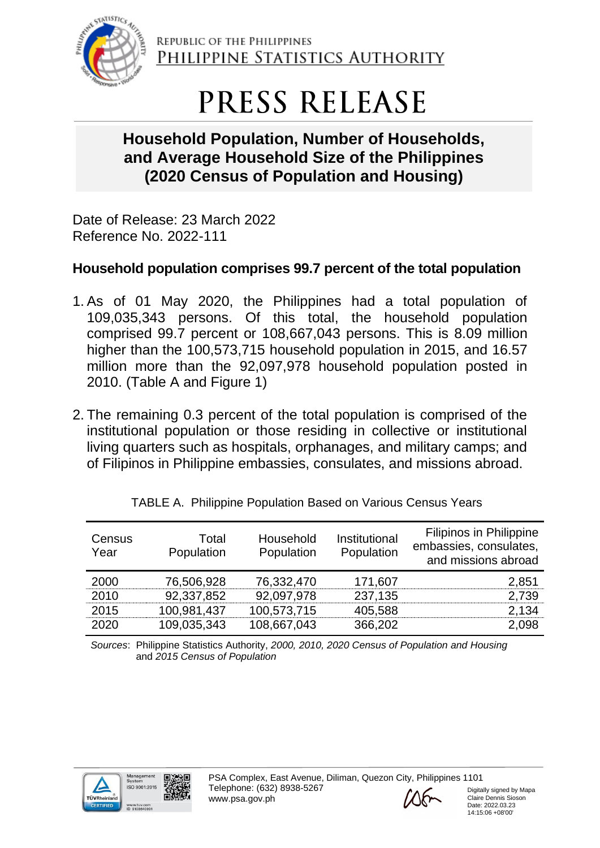

REPUBLIC OF THE PHILIPPINES PHILIPPINE STATISTICS AUTHORITY

# PRESS RELEASE

## **Household Population, Number of Households, and Average Household Size of the Philippines (2020 Census of Population and Housing)**

Date of Release: 23 March 2022 Reference No. 2022-111

## **Household population comprises 99.7 percent of the total population**

- 1. As of 01 May 2020, the Philippines had a total population of 109,035,343 persons. Of this total, the household population comprised 99.7 percent or 108,667,043 persons. This is 8.09 million higher than the 100,573,715 household population in 2015, and 16.57 million more than the 92,097,978 household population posted in 2010. (Table A and Figure 1)
- 2. The remaining 0.3 percent of the total population is comprised of the institutional population or those residing in collective or institutional living quarters such as hospitals, orphanages, and military camps; and of Filipinos in Philippine embassies, consulates, and missions abroad.

| Census<br>Year | Total<br>Population | Household<br>Population | Institutional<br>Population | <b>Filipinos in Philippine</b><br>embassies, consulates,<br>and missions abroad |
|----------------|---------------------|-------------------------|-----------------------------|---------------------------------------------------------------------------------|
| 2000           | 76,506,928          | 76,332,470              | 171,607                     | 2,851                                                                           |
| 2010           | 92,337,852          | 92,097,978              | 237,135                     | 2,739                                                                           |
| 2015           | 100,981,437         | 100,573,715             | 405,588                     | 2,134                                                                           |
| 2020           | 109,035,343         | 108,667,043             | 366,202                     | 2,098                                                                           |

| TABLE A. Philippine Population Based on Various Census Years |  |  |
|--------------------------------------------------------------|--|--|
|                                                              |  |  |

*Sources*: Philippine Statistics Authority, *2000, 2010, 2020 Census of Population and Housing* and *2015 Census of Population*







Digitally signed by Mapa Claire Dennis Sioson Date: 2022.03.23 14:15:06 +08'00'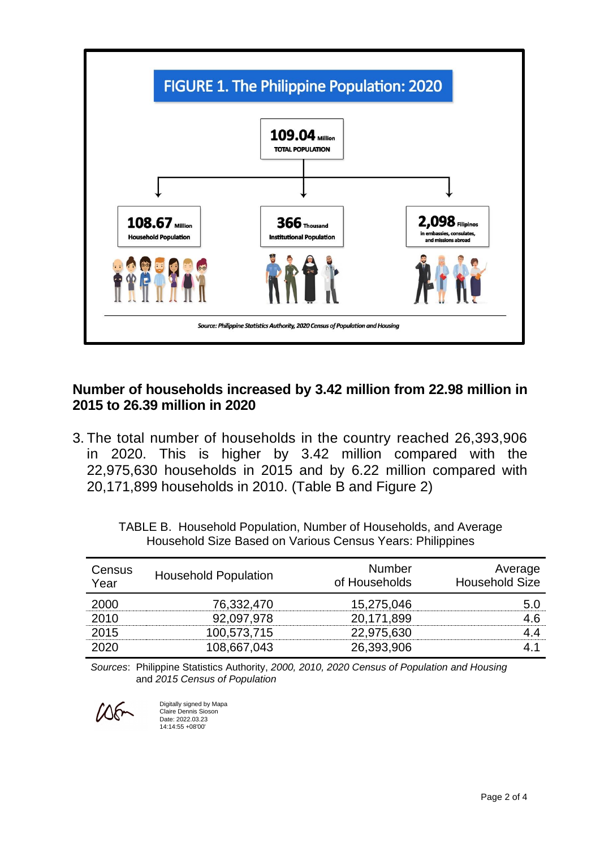

#### **Number of households increased by 3.42 million from 22.98 million in 2015 to 26.39 million in 2020**

3. The total number of households in the country reached 26,393,906 in 2020. This is higher by 3.42 million compared with the 22,975,630 households in 2015 and by 6.22 million compared with 20,171,899 households in 2010. (Table B and Figure 2)

| Census<br>Year | <b>Household Population</b> | <b>Number</b><br>of Households | Average<br><b>Household Size</b> |
|----------------|-----------------------------|--------------------------------|----------------------------------|
| 2000           | 76,332,470                  | 15,275,046                     | 5.0                              |
| 2010           | 92,097,978                  | 20,171,899                     | 4.6                              |
| 2015           | 100,573,715                 | 22,975,630                     | 44                               |
| 2020           | 108,667,043                 | 26,393,906                     |                                  |

TABLE B. Household Population, Number of Households, and Average Household Size Based on Various Census Years: Philippines

*Sources*: Philippine Statistics Authority, *2000, 2010, 2020 Census of Population and Housing* and *2015 Census of Population*

 $\Lambda$ 

Digitally signed by Mapa Claire Dennis Sioson Date: 2022.03.23 14:14:55 +08'00'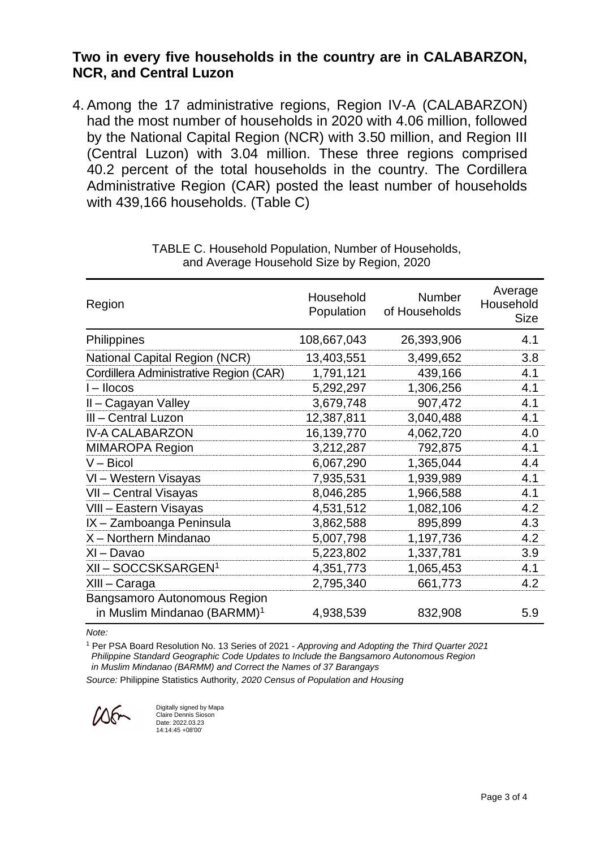#### **Two in every five households in the country are in CALABARZON, NCR, and Central Luzon**

4. Among the 17 administrative regions, Region IV-A (CALABARZON) had the most number of households in 2020 with 4.06 million, followed by the National Capital Region (NCR) with 3.50 million, and Region III (Central Luzon) with 3.04 million. These three regions comprised 40.2 percent of the total households in the country. The Cordillera Administrative Region (CAR) posted the least number of households with 439,166 households. (Table C)

| Region                                                                  | Household<br>Population | Number<br>of Households | Average<br>Household<br><b>Size</b> |
|-------------------------------------------------------------------------|-------------------------|-------------------------|-------------------------------------|
| Philippines                                                             | 108,667,043             | 26,393,906              | 4.1                                 |
| <b>National Capital Region (NCR)</b>                                    | 13,403,551              | 3,499,652               | 3.8                                 |
| Cordillera Administrative Region (CAR)                                  | 1,791,121               | 439,166                 | 4.1                                 |
| I-llocos                                                                | 5,292,297               | 1,306,256               | 4.1                                 |
| II - Cagayan Valley                                                     | 3,679,748               | 907,472                 | 4.1                                 |
| III - Central Luzon                                                     | 12,387,811              | 3,040,488               | 4.1                                 |
| <b>IV-A CALABARZON</b>                                                  | 16,139,770              | 4,062,720               | 4.0                                 |
| <b>MIMAROPA Region</b>                                                  | 3,212,287               | 792,875                 | 4.1                                 |
| $V - Bicol$                                                             | 6,067,290               | 1,365,044               | 4.4                                 |
| VI - Western Visayas                                                    | 7,935,531               | 1,939,989               | 4.1                                 |
| VII - Central Visayas                                                   | 8,046,285               | 1,966,588               | 4.1                                 |
| VIII - Eastern Visayas                                                  | 4,531,512               | 1,082,106               | 4.2                                 |
| IX - Zamboanga Peninsula                                                | 3,862,588               | 895,899                 | 4.3                                 |
| X - Northern Mindanao                                                   | 5,007,798               | 1,197,736               | 4.2                                 |
| XI - Davao                                                              | 5,223,802               | 1,337,781               | 3.9                                 |
| XII – SOCCSKSARGEN <sup>1</sup>                                         | 4,351,773               | 1,065,453               | 4.1                                 |
| XIII – Caraga                                                           | 2,795,340               | 661,773                 | 4.2                                 |
| Bangsamoro Autonomous Region<br>in Muslim Mindanao (BARMM) <sup>1</sup> | 4,938,539               | 832,908                 | 5.9                                 |

TABLE C. Household Population, Number of Households, and Average Household Size by Region, 2020

*Note:*

<sup>1</sup> Per PSA Board Resolution No. 13 Series of 2021 - *Approving and Adopting the Third Quarter 2021 Philippine Standard Geographic Code Updates to Include the Bangsamoro Autonomous Region in Muslim Mindanao (BARMM) and Correct the Names of 37 Barangays*

*Source:* Philippine Statistics Authority*, 2020 Census of Population and Housing*

 $105$ 

Digitally signed by Mapa Claire Dennis Sioson Date: 2022.03.23 14:14:45 +08'00'